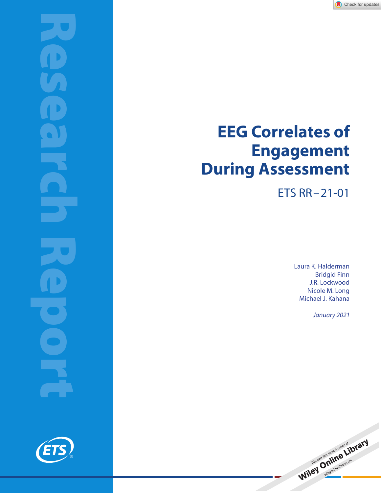

# **EEG Correlates of Engagement During Assessment**

ETS RR–21-01

Laura K. Halderman Bridgid Finn J.R. Lockwood Nicole M. Long Michael J. Kahana

January 2021



Wiley Online and online of the RTY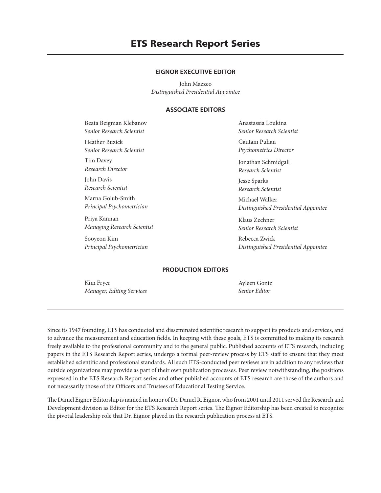# **ETS Research Report Series**

#### **EIGNOR EXECUTIVE EDITOR**

John Mazzeo *Distinguished Presidential Appointee*

# **ASSOCIATE EDITORS**

Beata Beigman Klebanov *Senior Research Scientist* Heather Buzick *Senior Research Scientist* Tim Davey *Research Director* John Davis

*Research Scientist* Marna Golub-Smith

*Principal Psychometrician*

Priya Kannan *Managing Research Scientist*

Sooyeon Kim *Principal Psychometrician* Anastassia Loukina *Senior Research Scientist*

Gautam Puhan *Psychometrics Director*

Jonathan Schmidgall *Research Scientist*

Jesse Sparks *Research Scientist*

Michael Walker *Distinguished Presidential Appointee*

Klaus Zechner *Senior Research Scientist*

Rebecca Zwick *Distinguished Presidential Appointee*

#### **PRODUCTION EDITORS**

Kim Fryer *Manager, Editing Services*

Ayleen Gontz *Senior Editor*

Since its 1947 founding, ETS has conducted and disseminated scientific research to support its products and services, and to advance the measurement and education fields. In keeping with these goals, ETS is committed to making its research freely available to the professional community and to the general public. Published accounts of ETS research, including papers in the ETS Research Report series, undergo a formal peer-review process by ETS staff to ensure that they meet established scientific and professional standards. All such ETS-conducted peer reviews are in addition to any reviews that outside organizations may provide as part of their own publication processes. Peer review notwithstanding, the positions expressed in the ETS Research Report series and other published accounts of ETS research are those of the authors and not necessarily those of the Officers and Trustees of Educational Testing Service.

The Daniel Eignor Editorship is named in honor of Dr. Daniel R. Eignor, who from 2001 until 2011 served the Research and Development division as Editor for the ETS Research Report series. The Eignor Editorship has been created to recognize the pivotal leadership role that Dr. Eignor played in the research publication process at ETS.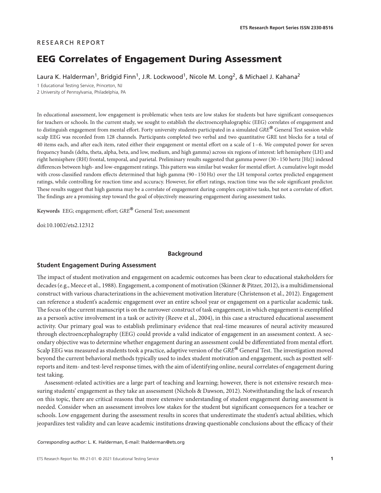#### RESEARCH REPORT

# **EEG Correlates of Engagement During Assessment**

Laura K. Halderman<sup>1</sup>, Bridgid Finn<sup>1</sup>, J.R. Lockwood<sup>1</sup>, Nicole M. Long<sup>2</sup>, & Michael J. Kahana<sup>2</sup>

1 Educational Testing Service, Princeton, NJ 2 University of Pennsylvania, Philadelphia, PA

In educational assessment, low engagement is problematic when tests are low stakes for students but have significant consequences for teachers or schools. In the current study, we sought to establish the electroencephalographic (EEG) correlates of engagement and to distinguish engagement from mental effort. Forty university students participated in a simulated *GRE*® General Test session while scalp EEG was recorded from 128 channels. Participants completed two verbal and two quantitative GRE test blocks for a total of 40 items each, and after each item, rated either their engagement or mental effort on a scale of 1–6. We computed power for seven frequency bands (delta, theta, alpha, beta, and low, medium, and high gamma) across six regions of interest: left hemisphere (LH) and right hemisphere (RH) frontal, temporal, and parietal. Preliminary results suggested that gamma power (30–150 hertz [Hz]) indexed differences between high- and low-engagement ratings. This pattern was similar but weaker for mental effort. A cumulative logit model with cross-classified random effects determined that high gamma (90-150 Hz) over the LH temporal cortex predicted engagement ratings, while controlling for reaction time and accuracy. However, for effort ratings, reaction time was the sole significant predictor. These results suggest that high gamma may be a correlate of engagement during complex cognitive tasks, but not a correlate of effort. The findings are a promising step toward the goal of objectively measuring engagement during assessment tasks.

**Keywords** EEG; engagement; effort; *GRE*® General Test; assessment

doi:10.1002/ets2.12312

## **Background**

#### **Student Engagement During Assessment**

The impact of student motivation and engagement on academic outcomes has been clear to educational stakeholders for decades (e.g., Meece et al., 1988). Engagement, a component of motivation (Skinner & Pitzer, 2012), is a multidimensional construct with various characterizations in the achievement motivation literature (Christenson et al., 2012). Engagement can reference a student's academic engagement over an entire school year or engagement on a particular academic task. The focus of the current manuscript is on the narrower construct of task engagement, in which engagement is exemplified as a person's active involvement in a task or activity (Reeve et al., 2004), in this case a structured educational assessment activity. Our primary goal was to establish preliminary evidence that real-time measures of neural activity measured through electroencephalography (EEG) could provide a valid indicator of engagement in an assessment context. A secondary objective was to determine whether engagement during an assessment could be differentiated from mental effort. Scalp EEG was measured as students took a practice, adaptive version of the *GRE*® General Test. The investigation moved beyond the current behavioral methods typically used to index student motivation and engagement, such as posttest selfreports and item- and test-level response times, with the aim of identifying online, neural correlates of engagement during test taking.

Assessment-related activities are a large part of teaching and learning; however, there is not extensive research measuring students' engagement as they take an assessment (Nichols & Dawson, 2012). Notwithstanding the lack of research on this topic, there are critical reasons that more extensive understanding of student engagement during assessment is needed. Consider when an assessment involves low stakes for the student but significant consequences for a teacher or schools. Low engagement during the assessment results in scores that underestimate the student's actual abilities, which jeopardizes test validity and can leave academic institutions drawing questionable conclusions about the efficacy of their

*Corresponding author:* L. K. Halderman, E-mail: lhalderman@ets.org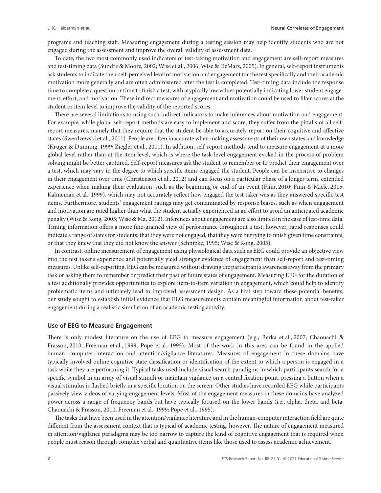programs and teaching staff. Measuring engagement during a testing session may help identify students who are not engaged during the assessment and improve the overall validity of assessment data.

To date, the two most commonly used indicators of test-taking motivation and engagement are self-report measures and test-timing data (Sundre & Moore, 2002; Wise et al., 2006; Wise & DeMars, 2005). In general, self-report instruments ask students to indicate their self-perceived level of motivation and engagement for the test specifically and their academic motivation more generally and are often administered after the test is completed. Test-timing data include the response time to complete a question or time to finish a test, with atypically low values potentially indicating lower student engagement, effort, and motivation. These indirect measures of engagement and motivation could be used to filter scores at the student or item level to improve the validity of the reported scores.

There are several limitations to using such indirect indicators to make inferences about motivation and engagement. For example, while global self-report methods are easy to implement and score, they suffer from the pitfalls of all selfreport measures, namely that they require that the student be able to accurately report on their cognitive and affective states (Swerdzewski et al., 2011). People are often inaccurate when making assessments of their own states and knowledge (Kruger & Dunning, 1999; Ziegler et al., 2011). In addition, self-report methods tend to measure engagement at a more global level rather than at the item level, which is where the task-level engagement evoked in the process of problem solving might be better captured. Self-report measures ask the student to remember or to predict their engagement over a test, which may vary in the degree to which specific items engaged the student. People can be insensitive to changes in their engagement over time (Christenson et al., 2012) and can focus on a particular phase of a longer term, extended experience when making their evaluation, such as the beginning or end of an event (Finn, 2010; Finn & Miele, 2015; Kahneman et al., 1999), which may not accurately reflect how engaged the test taker was as they answered specific test items. Furthermore, students' engagement ratings may get contaminated by response biases, such as when engagement and motivation are rated higher than what the student actually experienced in an effort to avoid an anticipated academic penalty (Wise & Kong, 2005; Wise & Ma, 2012). Inferences about engagement are also limited in the case of test-time data. Timing information offers a more fine-grained view of performance throughout a test; however, rapid responses could indicate a range of states for students: that they were not engaged, that they were hurrying to finish given time constraints, or that they knew that they did not know the answer (Schnipke, 1995; Wise & Kong, 2005).

In contrast, online measurement of engagement using physiological data such as EEG could provide an objective view into the test taker's experience and potentially yield stronger evidence of engagement than self-report and test-timing measures. Unlike self-reporting, EEG can be measured without drawing the participant's awareness away from the primary task or asking them to remember or predict their past or future states of engagement. Measuring EEG for the duration of a test additionally provides opportunities to explore item-to-item variation in engagement, which could help to identify problematic items and ultimately lead to improved assessment design. As a first step toward these potential benefits, our study sought to establish initial evidence that EEG measurements contain meaningful information about test-taker engagement during a realistic simulation of an academic testing activity.

#### **Use of EEG to Measure Engagement**

There is only modest literature on the use of EEG to measure engagement (e.g., Berka et al., 2007; Chaouachi & Frasson, 2010; Freeman et al., 1999; Pope et al., 1995). Most of the work in this area can be found in the applied human–computer interaction and attention/vigilance literatures. Measures of engagement in these domains have typically involved online cognitive state classification or identification of the extent to which a person is engaged in a task while they are performing it. Typical tasks used include visual search paradigms in which participants search for a specific symbol in an array of visual stimuli or maintain vigilance on a central fixation point, pressing a button when a visual stimulus is flashed briefly in a specific location on the screen. Other studies have recorded EEG while participants passively view videos of varying engagement levels. Most of the engagement measures in these domains have analyzed power across a range of frequency bands but have typically focused on the lower bands (i.e., alpha, theta, and beta; Chaouachi & Frasson, 2010, Freeman et al., 1999; Pope et al., 1995).

The tasks that have been used in the attention/vigilance literature and in the human-computer interaction field are quite different from the assessment context that is typical of academic testing, however. The nature of engagement measured in attention/vigilance paradigms may be too narrow to capture the kind of cognitive engagement that is required when people must reason through complex verbal and quantitative items like those used to assess academic achievement.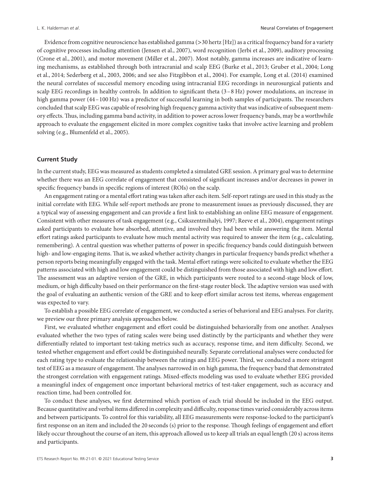Evidence from cognitive neuroscience has established gamma (*>*30 hertz [Hz]) as a critical frequency band for a variety of cognitive processes including attention (Jensen et al., 2007), word recognition (Jerbi et al., 2009), auditory processing (Crone et al., 2001), and motor movement (Miller et al., 2007). Most notably, gamma increases are indicative of learning mechanisms, as established through both intracranial and scalp EEG (Burke et al., 2013; Gruber et al., 2004; Long et al., 2014; Sederberg et al., 2003, 2006; and see also Fitzgibbon et al., 2004). For example, Long et al. (2014) examined the neural correlates of successful memory encoding using intracranial EEG recordings in neurosurgical patients and scalp EEG recordings in healthy controls. In addition to significant theta (3–8 Hz) power modulations, an increase in high gamma power (44-100 Hz) was a predictor of successful learning in both samples of participants. The researchers concluded that scalp EEG was capable of resolving high frequency gamma activity that was indicative of subsequent memory effects. Thus, including gamma band activity, in addition to power across lower frequency bands, may be a worthwhile approach to evaluate the engagement elicited in more complex cognitive tasks that involve active learning and problem solving (e.g., Blumenfeld et al., 2005).

#### **Current Study**

In the current study, EEG was measured as students completed a simulated GRE session. A primary goal was to determine whether there was an EEG correlate of engagement that consisted of significant increases and/or decreases in power in specific frequency bands in specific regions of interest (ROIs) on the scalp.

An engagement rating or a mental effort rating was taken after each item. Self-report ratings are used in this study as the initial correlate with EEG. While self-report methods are prone to measurement issues as previously discussed, they are a typical way of assessing engagement and can provide a first link to establishing an online EEG measure of engagement. Consistent with other measures of task engagement (e.g., Csikszentmihalyi, 1997; Reeve et al., 2004), engagement ratings asked participants to evaluate how absorbed, attentive, and involved they had been while answering the item. Mental effort ratings asked participants to evaluate how much mental activity was required to answer the item (e.g., calculating, remembering). A central question was whether patterns of power in specific frequency bands could distinguish between high- and low-engaging items. That is, we asked whether activity changes in particular frequency bands predict whether a person reports being meaningfully engaged with the task. Mental effort ratings were solicited to evaluate whether the EEG patterns associated with high and low engagement could be distinguished from those associated with high and low effort. The assessment was an adaptive version of the GRE, in which participants were routed to a second-stage block of low, medium, or high difficulty based on their performance on the first-stage router block. The adaptive version was used with the goal of evaluating an authentic version of the GRE and to keep effort similar across test items, whereas engagement was expected to vary.

To establish a possible EEG correlate of engagement, we conducted a series of behavioral and EEG analyses. For clarity, we preview our three primary analysis approaches below.

First, we evaluated whether engagement and effort could be distinguished behaviorally from one another. Analyses evaluated whether the two types of rating scales were being used distinctly by the participants and whether they were differentially related to important test-taking metrics such as accuracy, response time, and item difficulty. Second, we tested whether engagement and effort could be distinguished neurally. Separate correlational analyses were conducted for each rating type to evaluate the relationship between the ratings and EEG power. Third, we conducted a more stringent test of EEG as a measure of engagement. The analyses narrowed in on high gamma, the frequency band that demonstrated the strongest correlation with engagement ratings. Mixed-effects modeling was used to evaluate whether EEG provided a meaningful index of engagement once important behavioral metrics of test-taker engagement, such as accuracy and reaction time, had been controlled for.

To conduct these analyses, we first determined which portion of each trial should be included in the EEG output. Because quantitative and verbal items differed in complexity and difficulty, response times varied considerably across items and between participants. To control for this variability, all EEG measurements were response-locked to the participant's first response on an item and included the 20 seconds (s) prior to the response. Though feelings of engagement and effort likely occur throughout the course of an item, this approach allowed us to keep all trials an equal length (20 s) across items and participants.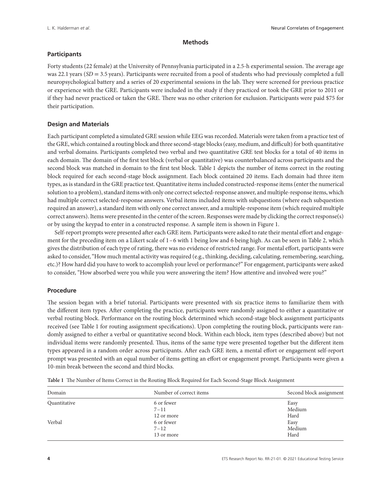# **Methods**

# **Participants**

Forty students (22 female) at the University of Pennsylvania participated in a 2.5-h experimental session. The average age was 22.1 years (*SD* = 3.5 years). Participants were recruited from a pool of students who had previously completed a full neuropsychological battery and a series of 20 experimental sessions in the lab. They were screened for previous practice or experience with the GRE. Participants were included in the study if they practiced or took the GRE prior to 2011 or if they had never practiced or taken the GRE. There was no other criterion for exclusion. Participants were paid \$75 for their participation.

# **Design and Materials**

Each participant completed a simulated GRE session while EEG was recorded. Materials were taken from a practice test of the GRE, which contained a routing block and three second-stage blocks (easy, medium, and difficult) for both quantitative and verbal domains. Participants completed two verbal and two quantitative GRE test blocks for a total of 40 items in each domain. The domain of the first test block (verbal or quantitative) was counterbalanced across participants and the second block was matched in domain to the first test block. Table 1 depicts the number of items correct in the routing block required for each second-stage block assignment. Each block contained 20 items. Each domain had three item types, as is standard in the GRE practice test. Quantitative items included constructed-response items (enter the numerical solution to a problem), standard items with only one correct selected-response answer, and multiple-response items, which had multiple correct selected-response answers. Verbal items included items with subquestions (where each subquestion required an answer), a standard item with only one correct answer, and a multiple-response item (which required multiple correct answers). Items were presented in the center of the screen. Responses were made by clicking the correct response(s) or by using the keypad to enter in a constructed response. A sample item is shown in Figure 1.

Self-report prompts were presented after each GRE item. Participants were asked to rate their mental effort and engagement for the preceding item on a Likert scale of 1–6 with 1 being low and 6 being high. As can be seen in Table 2, which gives the distribution of each type of rating, there was no evidence of restricted range. For mental effort, participants were asked to consider, "How much mental activity was required (e.g., thinking, deciding, calculating, remembering, searching, etc.)? How hard did you have to work to accomplish your level or performance?" For engagement, participants were asked to consider, "How absorbed were you while you were answering the item? How attentive and involved were you?"

#### **Procedure**

The session began with a brief tutorial. Participants were presented with six practice items to familiarize them with the different item types. After completing the practice, participants were randomly assigned to either a quantitative or verbal routing block. Performance on the routing block determined which second-stage block assignment participants received (see Table 1 for routing assignment specifications). Upon completing the routing block, participants were randomly assigned to either a verbal or quantitative second block. Within each block, item types (described above) but not individual items were randomly presented. Thus, items of the same type were presented together but the different item types appeared in a random order across participants. After each GRE item, a mental effort or engagement self-report prompt was presented with an equal number of items getting an effort or engagement prompt. Participants were given a 10-min break between the second and third blocks.

| Domain       | Number of correct items | Second block assignment |
|--------------|-------------------------|-------------------------|
| Quantitative | 6 or fewer              | Easy                    |
|              | $7 - 11$                | Medium                  |
|              | 12 or more              | Hard                    |
| Verbal       | 6 or fewer              | Easy                    |
|              | $7 - 12$                | Medium                  |
|              | 13 or more              | Hard                    |
|              |                         |                         |

**Table 1** The Number of Items Correct in the Routing Block Required for Each Second-Stage Block Assignment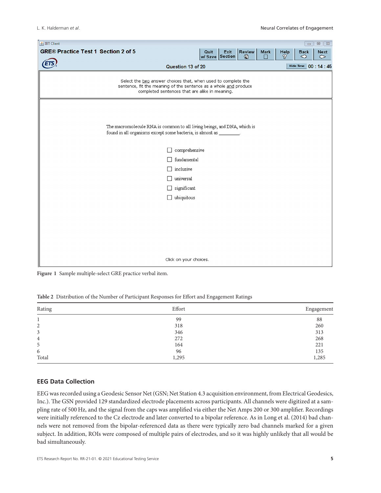| <b>图 IBT Client</b>                                                                                                                                                                 |      |                         |                    |           |           | $\qquad \qquad \Box$ | $\Box$                        |
|-------------------------------------------------------------------------------------------------------------------------------------------------------------------------------------|------|-------------------------|--------------------|-----------|-----------|----------------------|-------------------------------|
| <b>GRE® Practice Test 1 Section 2 of 5</b>                                                                                                                                          | Quit | Exit<br>w/ Save Section | <b>Review</b><br>€ | Mark<br>П | Help<br>8 | <b>Back</b><br>◇     | <b>Next</b><br>$\ddot{\circ}$ |
| Question 13 of 20                                                                                                                                                                   |      |                         |                    |           |           | Hide Time 00:14:45   |                               |
| Select the two answer choices that, when used to complete the<br>sentence, fit the meaning of the sentence as a whole and produce<br>completed sentences that are alike in meaning. |      |                         |                    |           |           |                      |                               |
| The macromolecule RNA is common to all living beings, and DNA, which is<br>found in all organisms except some bacteria, is almost as ________.                                      |      |                         |                    |           |           |                      |                               |
| comprehensive                                                                                                                                                                       |      |                         |                    |           |           |                      |                               |
| fundamental                                                                                                                                                                         |      |                         |                    |           |           |                      |                               |
| inclusive<br>universal                                                                                                                                                              |      |                         |                    |           |           |                      |                               |
|                                                                                                                                                                                     |      |                         |                    |           |           |                      |                               |
| significant<br>$\Box$<br>ubiquitous<br>□                                                                                                                                            |      |                         |                    |           |           |                      |                               |
|                                                                                                                                                                                     |      |                         |                    |           |           |                      |                               |
|                                                                                                                                                                                     |      |                         |                    |           |           |                      |                               |
|                                                                                                                                                                                     |      |                         |                    |           |           |                      |                               |
|                                                                                                                                                                                     |      |                         |                    |           |           |                      |                               |
|                                                                                                                                                                                     |      |                         |                    |           |           |                      |                               |
|                                                                                                                                                                                     |      |                         |                    |           |           |                      |                               |
| Click on your choices.                                                                                                                                                              |      |                         |                    |           |           |                      |                               |

**Figure 1** Sample multiple-select GRE practice verbal item.

|  | Table 2 Distribution of the Number of Participant Responses for Effort and Engagement Ratings |
|--|-----------------------------------------------------------------------------------------------|
|--|-----------------------------------------------------------------------------------------------|

| Rating | Effort | Engagement |
|--------|--------|------------|
|        | 99     | 88         |
| 2      | 318    | 260        |
| 3      | 346    | 313        |
| 4      | 272    | 268        |
| 5      | 164    | 221        |
| 6      | 96     | 135        |
| Total  | 1,295  | 1,285      |

# **EEG Data Collection**

EEG was recorded using a Geodesic Sensor Net (GSN; Net Station 4.3 acquisition environment, from Electrical Geodesics, Inc.). The GSN provided 129 standardized electrode placements across participants. All channels were digitized at a sampling rate of 500 Hz, and the signal from the caps was amplified via either the Net Amps 200 or 300 amplifier. Recordings were initially referenced to the Cz electrode and later converted to a bipolar reference. As in Long et al. (2014) bad channels were not removed from the bipolar-referenced data as there were typically zero bad channels marked for a given subject. In addition, ROIs were composed of multiple pairs of electrodes, and so it was highly unlikely that all would be bad simultaneously.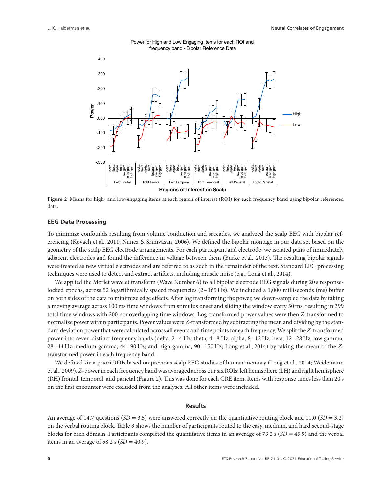

#### Power for High and Low Engaging Items for each ROI and frequency band - Bipolar Reference Data

**Figure 2** Means for high- and low-engaging items at each region of interest (ROI) for each frequency band using bipolar referenced data.

# **EEG Data Processing**

To minimize confounds resulting from volume conduction and saccades, we analyzed the scalp EEG with bipolar referencing (Kovach et al., 2011; Nunez & Srinivasan, 2006). We defined the bipolar montage in our data set based on the geometry of the scalp EEG electrode arrangements. For each participant and electrode, we isolated pairs of immediately adjacent electrodes and found the difference in voltage between them (Burke et al., 2013). The resulting bipolar signals were treated as new virtual electrodes and are referred to as such in the remainder of the text. Standard EEG processing techniques were used to detect and extract artifacts, including muscle noise (e.g., Long et al., 2014).

We applied the Morlet wavelet transform (Wave Number 6) to all bipolar electrode EEG signals during 20 s responselocked epochs, across 52 logarithmically spaced frequencies (2–165 Hz). We included a 1,000 milliseconds (ms) buffer on both sides of the data to minimize edge effects. After log transforming the power, we down-sampled the data by taking a moving average across 100 ms time windows from stimulus onset and sliding the window every 50 ms, resulting in 399 total time windows with 200 nonoverlapping time windows. Log-transformed power values were then *Z*-transformed to normalize power within participants. Power values were Z-transformed by subtracting the mean and dividing by the standard deviation power that were calculated across all events and time points for each frequency. We split the *Z*-transformed power into seven distinct frequency bands (delta, 2–4 Hz; theta, 4–8 Hz; alpha, 8–12 Hz; beta, 12–28 Hz; low gamma, 28–44 Hz; medium gamma, 44–90 Hz; and high gamma, 90–150 Hz; Long et al., 2014) by taking the mean of the *Z*transformed power in each frequency band.

We defined six a priori ROIs based on previous scalp EEG studies of human memory (Long et al., 2014; Weidemann et al., 2009). *Z*-power in each frequency band was averaged across our six ROIs: left hemisphere (LH) and right hemisphere (RH) frontal, temporal, and parietal (Figure 2). This was done for each GRE item. Items with response times less than 20 s on the first encounter were excluded from the analyses. All other items were included.

#### **Results**

An average of 14.7 questions  $(SD = 3.5)$  were answered correctly on the quantitative routing block and 11.0  $(SD = 3.2)$ on the verbal routing block. Table 3 shows the number of participants routed to the easy, medium, and hard second-stage blocks for each domain. Participants completed the quantitative items in an average of 73.2 s (*SD* = 45.9) and the verbal items in an average of 58.2 s  $(SD = 40.9)$ .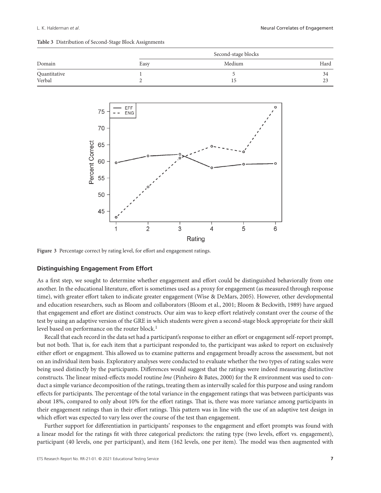| Domain       | Second-stage blocks |        |               |  |  |
|--------------|---------------------|--------|---------------|--|--|
|              | Easy                | Medium | Hard          |  |  |
| Quantitative |                     |        | 34            |  |  |
| Verbal       |                     | 15     | $\cap$<br>ل ک |  |  |



**Figure 3** Percentage correct by rating level, for effort and engagement ratings.

# **Distinguishing Engagement From Effort**

As a first step, we sought to determine whether engagement and effort could be distinguished behaviorally from one another. In the educational literature, effort is sometimes used as a proxy for engagement (as measured through response time), with greater effort taken to indicate greater engagement (Wise & DeMars, 2005). However, other developmental and education researchers, such as Bloom and collaborators (Bloom et al., 2001; Bloom & Beckwith, 1989) have argued that engagement and effort are distinct constructs. Our aim was to keep effort relatively constant over the course of the test by using an adaptive version of the GRE in which students were given a second-stage block appropriate for their skill level based on performance on the router block.<sup>1</sup>

Recall that each record in the data set had a participant's response to either an effort or engagement self-report prompt, but not both. That is, for each item that a participant responded to, the participant was asked to report on exclusively either effort or engagment. This allowed us to examine patterns and engagement broadly across the assessment, but not on an individual item basis. Exploratory analyses were conducted to evaluate whether the two types of rating scales were being used distinctly by the participants. Differences would suggest that the ratings were indeed measuring distinctive constructs. The linear mixed-effects model routine *lme* (Pinheiro & Bates, 2000) for the R environment was used to conduct a simple variance decomposition of the ratings, treating them as intervally scaled for this purpose and using random effects for participants. The percentage of the total variance in the engagement ratings that was between participants was about 18%, compared to only about 10% for the effort ratings. That is, there was more variance among participants in their engagement ratings than in their effort ratings. This pattern was in line with the use of an adaptive test design in which effort was expected to vary less over the course of the test than engagement.

Further support for differentiation in participants' responses to the engagement and effort prompts was found with a linear model for the ratings fit with three categorical predictors: the rating type (two levels, effort vs. engagement), participant (40 levels, one per participant), and item (162 levels, one per item). The model was then augmented with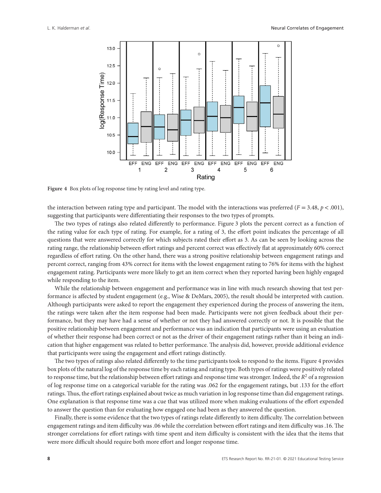

**Figure 4** Box plots of log response time by rating level and rating type.

the interaction between rating type and participant. The model with the interactions was preferred (*F* = 3.48, *p<*.001), suggesting that participants were differentiating their responses to the two types of prompts.

The two types of ratings also related differently to performance. Figure 3 plots the percent correct as a function of the rating value for each type of rating. For example, for a rating of 3, the effort point indicates the percentage of all questions that were answered correctly for which subjects rated their effort as 3. As can be seen by looking across the rating range, the relationship between effort ratings and percent correct was effectively flat at approximately 60% correct regardless of effort rating. On the other hand, there was a strong positive relationship between engagement ratings and percent correct, ranging from 43% correct for items with the lowest engagement rating to 76% for items with the highest engagement rating. Participants were more likely to get an item correct when they reported having been highly engaged while responding to the item.

While the relationship between engagement and performance was in line with much research showing that test performance is affected by student engagement (e.g., Wise & DeMars, 2005), the result should be interpreted with caution. Although participants were asked to report the engagement they experienced during the process of answering the item, the ratings were taken after the item response had been made. Participants were not given feedback about their performance, but they may have had a sense of whether or not they had answered correctly or not. It is possible that the positive relationship between engagement and performance was an indication that participants were using an evaluation of whether their response had been correct or not as the driver of their engagement ratings rather than it being an indication that higher engagement was related to better performance. The analysis did, however, provide additional evidence that participants were using the engagement and effort ratings distinctly.

The two types of ratings also related differently to the time participants took to respond to the items. Figure 4 provides box plots of the natural log of the response time by each rating and rating type. Both types of ratings were positively related to response time, but the relationship between effort ratings and response time was stronger. Indeed, the  $R<sup>2</sup>$  of a regression of log response time on a categorical variable for the rating was .062 for the engagement ratings, but .133 for the effort ratings. Thus, the effort ratings explained about twice as much variation in log response time than did engagement ratings. One explanation is that response time was a cue that was utilized more when making evaluations of the effort expended to answer the question than for evaluating how engaged one had been as they answered the question.

Finally, there is some evidence that the two types of ratings relate differently to item difficulty. The correlation between engagement ratings and item difficulty was .06 while the correlation between effort ratings and item difficulty was .16. The stronger correlations for effort ratings with time spent and item difficulty is consistent with the idea that the items that were more difficult should require both more effort and longer response time.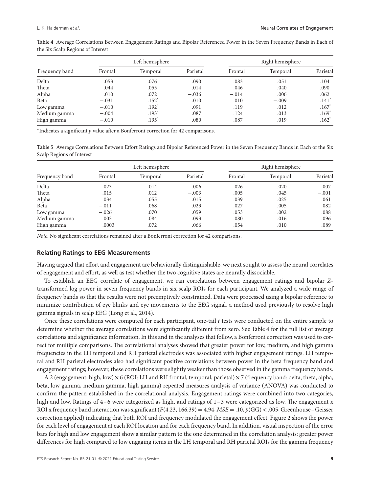| Frequency band |         | Left hemisphere   |          |         |          |                     |
|----------------|---------|-------------------|----------|---------|----------|---------------------|
|                | Frontal | Temporal          | Parietal | Frontal | Temporal | Parietal            |
| Delta          | .053    | .076              | .090     | .083    | .051     | .104                |
| Theta          | .044    | .055              | .014     | .046    | .040     | .090                |
| Alpha          | .010    | .072              | $-.036$  | $-.014$ | .006     | .062                |
| Beta           | $-.031$ | $.152*$           | .010     | .010    | $-.009$  | $.141$ <sup>*</sup> |
| Low gamma      | $-.010$ | $.192*$           | .091     | .119    | .012     | $.167*$             |
| Medium gamma   | $-.004$ | .193 <sup>°</sup> | .087     | .124    | .013     | .169 <sup>°</sup>   |
| High gamma     | $-.010$ | .195              | .080     | .087    | .019     | $.162^*$            |

**Table 4** Average Correlations Between Engagement Ratings and Bipolar Referenced Power in the Seven Frequency Bands in Each of the Six Scalp Regions of Interest

<sup>∗</sup>Indicates a significant *p* value after a Bonferroni correction for 42 comparisons.

**Table 5** Average Correlations Between Effort Ratings and Bipolar Referenced Power in the Seven Frequency Bands in Each of the Six Scalp Regions of Interest

| Frequency band |         | Left hemisphere |          |         | Right hemisphere |          |  |
|----------------|---------|-----------------|----------|---------|------------------|----------|--|
|                | Frontal | Temporal        | Parietal | Frontal | Temporal         | Parietal |  |
| Delta          | $-.023$ | $-.014$         | $-.006$  | $-.026$ | .020             | $-.007$  |  |
| Theta          | .015    | .012            | $-.003$  | .005    | .045             | $-.001$  |  |
| Alpha          | .034    | .055            | .015     | .039    | .025             | .061     |  |
| Beta           | $-.011$ | .068            | .023     | .027    | .005             | .082     |  |
| Low gamma      | $-.026$ | .070            | .059     | .053    | .002             | .088     |  |
| Medium gamma   | .003    | .084            | .093     | .080    | .016             | .096     |  |
| High gamma     | .0003   | .072            | .066     | .054    | .010             | .089     |  |

*Note*. No significant correlations remained after a Bonferroni correction for 42 comparisons.

#### **Relating Ratings to EEG Measurements**

Having argued that effort and engagement are behaviorally distinguishable, we next sought to assess the neural correlates of engagement and effort, as well as test whether the two cognitive states are neurally dissociable.

To establish an EEG correlate of engagement, we ran correlations between engagement ratings and bipolar *Z*transformed log power in seven frequency bands in six scalp ROIs for each participant. We analyzed a wide range of frequency bands so that the results were not preemptively constrained. Data were processed using a bipolar reference to minimize contribution of eye blinks and eye movements to the EEG signal, a method used previously to resolve high gamma signals in scalp EEG (Long et al., 2014).

Once these correlations were computed for each participant, one-tail *t* tests were conducted on the entire sample to determine whether the average correlations were significantly different from zero. See Table 4 for the full list of average correlations and significance information. In this and in the analyses that follow, a Bonferroni correction was used to correct for multiple comparisons. The correlational analyses showed that greater power for low, medium, and high gamma frequencies in the LH temporal and RH parietal electrodes was associated with higher engagement ratings. LH temporal and RH parietal electrodes also had significant positive correlations between power in the beta frequency band and engagement ratings; however, these correlations were slightly weaker than those observed in the gamma frequency bands.

A 2 (engagement: high, low)  $\times$  6 (ROI: LH and RH frontal, temporal, parietal)  $\times$  7 (frequency band: delta, theta, alpha, beta, low gamma, medium gamma, high gamma) repeated measures analysis of variance (ANOVA) was conducted to confirm the pattern established in the correlational analysis. Engagement ratings were combined into two categories, high and low. Ratings of 4–6 were categorized as high, and ratings of 1–3 were categorized as low. The engagement x ROI x frequency band interaction was significant  $(F(4.23, 166.39) = 4.94$ ,  $MSE = .10$ ,  $p(GG) < .005$ , Greenhouse–Geisser correction applied) indicating that both ROI and frequency modulated the engagement effect. Figure 2 shows the power for each level of engagement at each ROI location and for each frequency band. In addition, visual inspection of the error bars for high and low engagement show a similar pattern to the one determined in the correlation analysis: greater power differences for high compared to low engaging items in the LH temporal and RH parietal ROIs for the gamma frequency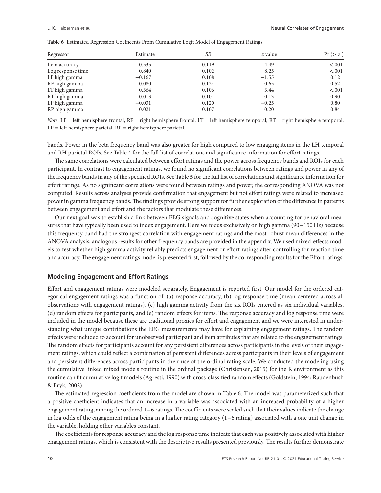| Regressor         | Estimate | SE    | z value | Pr ( >  z  ) |
|-------------------|----------|-------|---------|--------------|
| Item accuracy     | 0.535    | 0.119 | 4.49    | < .001       |
| Log response time | 0.840    | 0.102 | 8.25    | < .001       |
| LF high gamma     | $-0.167$ | 0.108 | $-1.55$ | 0.12         |
| RF high gamma     | $-0.080$ | 0.124 | $-0.65$ | 0.52         |
| LT high gamma     | 0.364    | 0.106 | 3.44    | < .001       |
| RT high gamma     | 0.013    | 0.101 | 0.13    | 0.90         |
| LP high gamma     | $-0.031$ | 0.120 | $-0.25$ | 0.80         |
| RP high gamma     | 0.021    | 0.107 | 0.20    | 0.84         |

**Table 6** Estimated Regression Coefficents From Cumulative Logit Model of Engagement Ratings

*Note*. LF = left hemisphere frontal, RF = right hemisphere frontal, LT = left hemisphere temporal, RT = right hemisphere temporal,  $LP = left$  hemisphere parietal,  $RP = right$  hemisphere parietal.

bands. Power in the beta frequency band was also greater for high compared to low engaging items in the LH temporal and RH parietal ROIs. See Table 4 for the full list of correlations and significance information for effort ratings.

The same correlations were calculated between effort ratings and the power across frequency bands and ROIs for each participant. In contrast to engagement ratings, we found no significant correlations between ratings and power in any of the frequency bands in any of the specified ROIs. See Table 5 for the full list of correlations and significance information for effort ratings. As no significant correlations were found between ratings and power, the corresponding ANOVA was not computed. Results across analyses provide confirmation that engagement but not effort ratings were related to increased power in gamma frequency bands.The findings provide strong support for further exploration of the difference in patterns between engagement and effort and the factors that modulate these differences.

Our next goal was to establish a link between EEG signals and cognitive states when accounting for behavioral measures that have typically been used to index engagement. Here we focus exclusively on high gamma (90-150 Hz) because this frequency band had the strongest correlation with engagement ratings and the most robust mean differences in the ANOVA analysis; analogous results for other frequency bands are provided in the appendix. We used mixed-effects models to test whether high gamma activity reliably predicts engagement or effort ratings after controlling for reaction time and accuracy.The engagement ratings model is presented first, followed by the corresponding results for the Effort ratings.

# **Modeling Engagement and Effort Ratings**

Effort and engagement ratings were modeled separately. Engagement is reported first. Our model for the ordered categorical engagement ratings was a function of: (a) response accuracy, (b) log response time (mean-centered across all observations with engagement ratings), (c) high gamma activity from the six ROIs entered as six individual variables, (d) random effects for participants, and (e) random effects for items. The response accuracy and log response time were included in the model because these are traditional proxies for effort and engagement and we were interested in understanding what unique contributions the EEG measurements may have for explaining engagement ratings. The random effects were included to account for unobserved participant and item attributes that are related to the engagement ratings. The random effects for participants account for any persistent differences across participants in the levels of their engagement ratings, which could reflect a combination of persistent differences across participants in their levels of engagement and persistent differences across participants in their use of the ordinal rating scale. We conducted the modeling using the cumulative linked mixed models routine in the ordinal package (Christensen, 2015) for the R environment as this routine can fit cumulative logit models (Agresti, 1990) with cross-classified random effects (Goldstein, 1994; Raudenbush & Bryk, 2002).

The estimated regression coefficients from the model are shown in Table 6. The model was parameterized such that a positive coefficient indicates that an increase in a variable was associated with an increased probability of a higher engagement rating, among the ordered 1–6 ratings. The coefficients were scaled such that their values indicate the change in log odds of the engagement rating being in a higher rating category (1–6 rating) associated with a one unit change in the variable, holding other variables constant.

The coefficients for response accuracy and the log response time indicate that each was positively associated with higher engagement ratings, which is consistent with the descriptive results presented previously. The results further demonstrate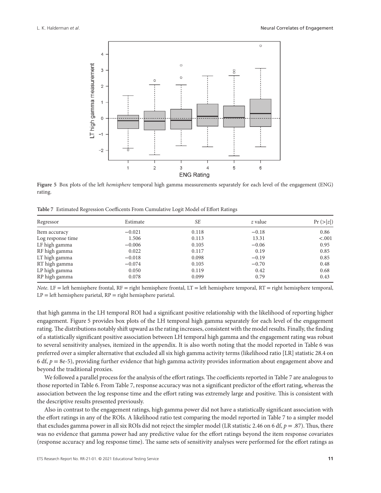

**Figure 5** Box plots of the left *hemisphere* temporal high gamma measurements separately for each level of the engagement (ENG) rating.

**Table 7** Estimated Regression Coefficents From Cumulative Logit Model of Effort Ratings

| Regressor         | Estimate | SE    | z value | Pr(z z ) |  |
|-------------------|----------|-------|---------|----------|--|
| Item accuracy     | $-0.021$ | 0.118 | $-0.18$ | 0.86     |  |
| Log response time | 1.506    | 0.113 | 13.31   | < .001   |  |
| LF high gamma     | $-0.006$ | 0.105 | $-0.06$ | 0.95     |  |
| RF high gamma     | 0.022    | 0.117 | 0.19    | 0.85     |  |
| LT high gamma     | $-0.018$ | 0.098 | $-0.19$ | 0.85     |  |
| RT high gamma     | $-0.074$ | 0.105 | $-0.70$ | 0.48     |  |
| LP high gamma     | 0.050    | 0.119 | 0.42    | 0.68     |  |
| RP high gamma     | 0.078    | 0.099 | 0.79    | 0.43     |  |

*Note*. LF = left hemisphere frontal, RF = right hemisphere frontal, LT = left hemisphere temporal, RT = right hemisphere temporal,  $LP = left$  hemisphere parietal,  $RP = right$  hemisphere parietal.

that high gamma in the LH temporal ROI had a significant positive relationship with the likelihood of reporting higher engagement. Figure 5 provides box plots of the LH temporal high gamma separately for each level of the engagement rating. The distributions notably shift upward as the rating increases, consistent with the model results. Finally, the finding of a statistically significant positive association between LH temporal high gamma and the engagement rating was robust to several sensitivity analyses, itemized in the appendix. It is also worth noting that the model reported in Table 6 was preferred over a simpler alternative that excluded all six high gamma activity terms (likelihood ratio [LR] statistic 28.4 on 6 df,  $p = 8e-5$ ), providing further evidence that high gamma activity provides information about engagement above and beyond the traditional proxies.

We followed a parallel process for the analysis of the effort ratings. The coefficients reported in Table 7 are analogous to those reported in Table 6. From Table 7, response accuracy was not a significant predictor of the effort rating, whereas the association between the log response time and the effort rating was extremely large and positive. This is consistent with the descriptive results presented previously.

Also in contrast to the engagement ratings, high gamma power did not have a statistically significant association with the effort ratings in any of the ROIs. A likelihood ratio test comparing the model reported in Table 7 to a simpler model that excludes gamma power in all six ROIs did not reject the simpler model (LR statistic 2.46 on 6 df,  $p = .87$ ). Thus, there was no evidence that gamma power had any predictive value for the effort ratings beyond the item response covariates (response accuracy and log response time). The same sets of sensitivity analyses were performed for the effort ratings as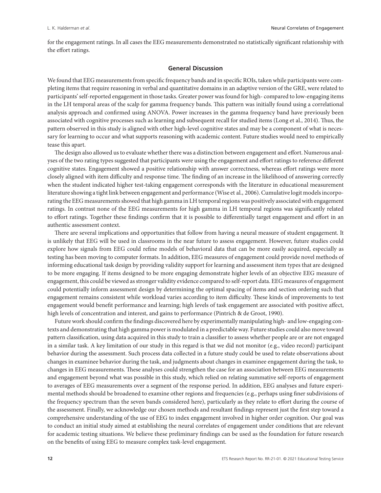for the engagement ratings. In all cases the EEG measurements demonstrated no statistically significant relationship with the effort ratings.

## **General Discussion**

We found that EEG measurements from specific frequency bands and in specific ROIs, taken while participants were completing items that require reasoning in verbal and quantitative domains in an adaptive version of the GRE, were related to participants' self-reported engagement in those tasks. Greater power was found for high- compared to low-engaging items in the LH temporal areas of the scalp for gamma frequency bands. This pattern was initially found using a correlational analysis approach and confirmed using ANOVA. Power increases in the gamma frequency band have previously been associated with cognitive processes such as learning and subsequent recall for studied items (Long et al., 2014). Thus, the pattern observed in this study is aligned with other high-level cognitive states and may be a component of what is necessary for learning to occur and what supports reasoning with academic content. Future studies would need to empirically tease this apart.

The design also allowed us to evaluate whether there was a distinction between engagement and effort. Numerous analyses of the two rating types suggested that participants were using the engagement and effort ratings to reference different cognitive states. Engagement showed a positive relationship with answer correctness, whereas effort ratings were more closely aligned with item difficulty and response time. The finding of an increase in the likelihood of answering correctly when the student indicated higher test-taking engagement corresponds with the literature in educational measurement literature showing a tight link between engagement and performance (Wise et al., 2006). Cumulative logit models incorporating the EEG measurements showed that high gamma in LH temporal regions was positively associated with engagement ratings. In contrast none of the EEG measurements for high gamma in LH temporal regions was significantly related to effort ratings. Together these findings confirm that it is possible to differentially target engagement and effort in an authentic assessment context.

There are several implications and opportunities that follow from having a neural measure of student engagement. It is unlikely that EEG will be used in classrooms in the near future to assess engagement. However, future studies could explore how signals from EEG could refine models of behavioral data that can be more easily acquired, especially as testing has been moving to computer formats. In addition, EEG measures of engagement could provide novel methods of informing educational task design by providing validity support for learning and assessment item types that are designed to be more engaging. If items designed to be more engaging demonstrate higher levels of an objective EEG measure of engagement, this could be viewed as stronger validity evidence compared to self-report data. EEG measures of engagement could potentially inform assessment design by determining the optimal spacing of items and section ordering such that engagement remains consistent while workload varies according to item difficulty. These kinds of improvements to test engagement would benefit performance and learning; high levels of task engagement are associated with positive affect, high levels of concentration and interest, and gains to performance (Pintrich & de Groot, 1990).

Future work should confirm the findings discovered here by experimentally manipulating high- and low-engaging contexts and demonstrating that high gamma power is modulated in a predictable way. Future studies could also move toward pattern classification, using data acquired in this study to train a classifier to assess whether people are or are not engaged in a similar task. A key limitation of our study in this regard is that we did not monitor (e.g., video record) participant behavior during the assessment. Such process data collected in a future study could be used to relate observations about changes in examinee behavior during the task, and judgments about changes in examinee engagement during the task, to changes in EEG measurements. These analyses could strengthen the case for an association between EEG measurements and engagement beyond what was possible in this study, which relied on relating summative self-reports of engagement to averages of EEG measurements over a segment of the response period. In addition, EEG analyses and future experimental methods should be broadened to examine other regions and frequencies (e.g., perhaps using finer subdivisions of the frequency spectrum than the seven bands considered here), particularly as they relate to effort during the course of the assessment. Finally, we acknowledge our chosen methods and resultant findings represent just the first step toward a comprehensive understanding of the use of EEG to index engagement involved in higher order cognition. Our goal was to conduct an initial study aimed at establishing the neural correlates of engagement under conditions that are relevant for academic testing situations. We believe these preliminary findings can be used as the foundation for future research on the benefits of using EEG to measure complex task-level engagement.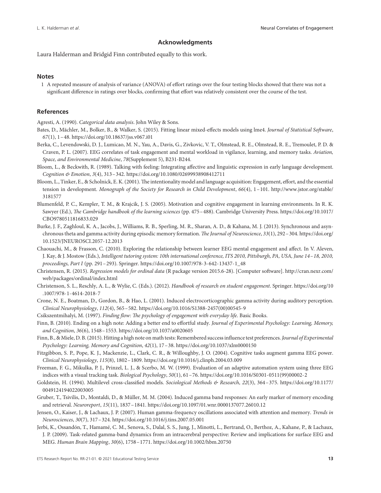#### **Acknowledgments**

Laura Halderman and Bridgid Finn contributed equally to this work.

#### **Notes**

1 A repeated measure of analysis of variance (ANOVA) of effort ratings over the four testing blocks showed that there was not a significant difference in ratings over blocks, confirming that effort was relatively consistent over the course of the test.

#### **References**

Agresti, A. (1990). *Categorical data analysis*. John Wiley & Sons.

- Bates, D., Mächler, M., Bolker, B., & Walker, S. (2015). Fitting linear mixed-effects models using lme4. *Journal of Statistical Software*, *67*(1), 1–48.<https://doi.org/10.18637/jss.v067.i01>
- Berka, C., Levendowski, D. J., Lumicao, M. N., Yau, A., Davis, G., Zivkovic, V. T., Olmstead, R. E., Olmstead, R. E., Tremoulet, P. D. & Craven, P. L. (2007). EEG correlates of task engagement and mental workload in vigilance, learning, and memory tasks. *Aviation, Space, and Environmental Medicine*, *78*(Supplement 5), B231-B244.
- Bloom, L., & Beckwith, R. (1989). Talking with feeling: Integrating affective and linguistic expression in early language development. *Cognition & Emotion*, *3*(4), 313–342.<https://doi.org/10.1080/02699938908412711>
- Bloom, L., Tinker, E., & Scholnick, E. K. (2001). The intentionality model and language acquisition: Engagement, effort, and the essential tension in development. *Monograph of the Society for Research in Child Development*, *66*(4), 1–101. [http://www.jstor.org/stable/](http://www.jstor.org/stable/3181577) [3181577](http://www.jstor.org/stable/3181577)
- Blumenfeld, P. C., Kempler, T. M., & Krajcik, J. S. (2005). Motivation and cognitive engagement in learning environments. In R. K. Sawyer (Ed.), *The Cambridge handbook of the learning sciences* (pp. 475–488). Cambridge University Press. [https://doi.org/10.1017/](https://doi.org/10.1017/CBO9780511816833.029) [CBO9780511816833.029](https://doi.org/10.1017/CBO9780511816833.029)
- Burke, J. F., Zaghloul, K. A., Jacobs, J., Williams, R. B., Sperling, M. R., Sharan, A. D., & Kahana, M. J. (2013). Synchronous and asynchronous theta and gamma activity during episodic memory formation. *The Journal of Neuroscience*, *33*(1), 292–304. [https://doi.org/](https://doi.org/10.1523/JNEUROSCI.2057-12.2013) [10.1523/JNEUROSCI.2057-12.2013](https://doi.org/10.1523/JNEUROSCI.2057-12.2013)
- Chaouachi, M., & Frasson, C. (2010). Exploring the relationship between learner EEG mental engagement and affect. In V. Aleven, J. Kay, & J. Mostow (Eds.), *Intelligent tutoring system: 10th international conference, ITS 2010, Pittsburgh, PA, USA, June 14–18, 2010, proceedings, Part I* (pp. 291–293). Springer. [https://doi.org/10.1007/978-3-642-13437-1\\_48](https://doi.org/10.1007/978-3-642-13437-1_48)
- Christensen, R. (2015). *Regression models for ordinal data* (R package version 2015.6-28). [Computer software]. [http://cran.nexr.com/](http://cran.nexr.com/web/packages/ordinal/index.html) [web/packages/ordinal/index.html](http://cran.nexr.com/web/packages/ordinal/index.html)
- Christenson, S. L., Reschly, A. L., & Wylie, C. (Eds.). (2012). *Handbook of research on student engagement*. Springer. [https://doi.org/10](https://doi.org/10.1007/978-1-4614-2018-7) [.1007/978-1-4614-2018-7](https://doi.org/10.1007/978-1-4614-2018-7)
- Crone, N. E., Boatman, D., Gordon, B., & Hao, L. (2001). Induced electrocorticographic gamma activity during auditory perception. *Clinical Neurophysiology*, *112*(4), 565–582. [https://doi.org/10.1016/S1388-2457\(00\)00545-9](https://doi.org/10.1016/S1388-2457(00)00545-9)
- Csikszentmihalyi, M. (1997). *Finding flow: The psychology of engagement with everyday life*. Basic Books.
- Finn, B. (2010). Ending on a high note: Adding a better end to effortful study. *Journal of Experimental Psychology: Learning, Memory, and Cognition*, *36*(6), 1548–1553.<https://doi.org/10.1037/a0020605>
- Finn, B., & Miele, D. B. (2015). Hitting a high note on math tests: Remembered success influence test preferences.*Journal of Experimental Psychology: Learning, Memory and Cognition*, *42*(1), 17–38.<https://doi.org/10.1037/xlm0000150>
- Fitzgibbon, S. P., Pope, K. J., Mackenzie, L., Clark, C. R., & Willoughby, J. O. (2004). Cognitive tasks augment gamma EEG power. *Clinical Neurophysiology*, *115*(8), 1802–1809.<https://doi.org/10.1016/j.clinph.2004.03.009>
- Freeman, F. G., Mikulka, P. J., Prinzel, L. J., & Scerbo, M. W. (1999). Evaluation of an adaptive automation system using three EEG indices with a visual tracking task. *Biological Psychology*, *50*(1), 61–76. [https://doi.org/10.1016/S0301-0511\(99\)00002-2](https://doi.org/10.1016/S0301-0511(99)00002-2)
- Goldstein, H. (1994). Multilevel cross-classified models. *Sociological Methods & Research*, *22*(3), 364–375. [https://doi.org/10.1177/](https://doi.org/10.1177/0049124194022003005) [0049124194022003005](https://doi.org/10.1177/0049124194022003005)
- Gruber, T., Tsivilis, D., Montaldi, D., & Müller, M. M. (2004). Induced gamma band responses: An early marker of memory encoding and retrieval. *Neuroreport*, *15*(11), 1837–1841.<https://doi.org/10.1097/01.wnr.0000137077.26010.12>
- Jensen, O., Kaiser, J., & Lachaux, J. P. (2007). Human gamma-frequency oscillations associated with attention and memory. *Trends in Neurosciences*, *30*(7), 317–324.<https://doi.org/10.1016/j.tins.2007.05.001>
- Jerbi, K., Ossandón, T., Hamamé, C. M., Senova, S., Dalal, S. S., Jung, J., Minotti, L., Bertrand, O., Berthoz, A., Kahane, P., & Lachaux, J. P. (2009). Task-related gamma-band dynamics from an intracerebral perspective: Review and implications for surface EEG and MEG. *Human Brain Mapping*, *30*(6), 1758–1771.<https://doi.org/10.1002/hbm.20750>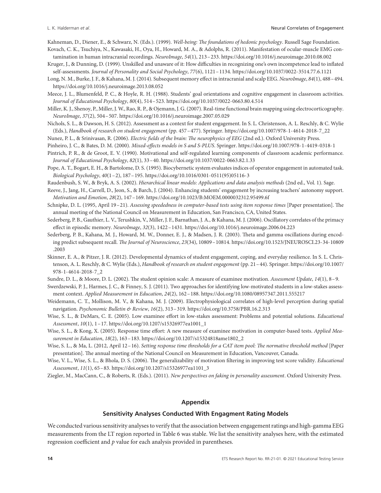Kahneman, D., Diener, E., & Schwarz, N. (Eds.). (1999). *Well-being: The foundations of hedonic psychology*. Russell Sage Foundation.

- Kovach, C. K., Tsuchiya, N., Kawasaki, H., Oya, H., Howard, M. A., & Adolphs, R. (2011). Manifestation of ocular-muscle EMG contamination in human intracranial recordings. *NeuroImage*, *54*(1), 213–233.<https://doi.org/10.1016/j.neuroimage.2010.08.002>
- Kruger, J., & Dunning, D. (1999). Unskilled and unaware of it: How difficulties in recognizing one's own incompetence lead to inflated self-assessments. *Journal of Personality and Social Psychology*, *77*(6), 1121–1134.<https://doi.org/10.1037/0022-3514.77.6.1121>
- Long, N. M., Burke, J. F., & Kahana, M. J. (2014). Subsequent memory effect in intracranial and scalp EEG. *NeuroImage*, *84*(1), 488–494. <https://doi.org/10.1016/j.neuroimage.2013.08.052>
- Meece, J. L., Blumenfeld, P. C., & Hoyle, R. H. (1988). Students' goal orientations and cognitive engagement in classroom activities. *Journal of Educational Psychology*, *80*(4), 514–523.<https://doi.org/10.1037/0022-0663.80.4.514>
- Miller, K. J., Shenoy, P., Miller, J.W., Rao, R. P., & Ojemann, J. G. (2007). Real-time functional brain mapping using electrocorticography. *NeuroImage*, *37*(2), 504–507.<https://doi.org/10.1016/j.neuroimage.2007.05.029>
- Nichols, S. L., & Dawson, H. S. (2012). Assessment as a context for student engagement. In S. L. Christenson, A. L. Reschly, & C. Wylie (Eds.), *Handbook of research on student engagement* (pp. 457–477). Springer. [https://doi.org/10.1007/978-1-4614-2018-7\\_22](https://doi.org/10.1007/978-1-4614-2018-7_22)
- Nunez, P. L., & Srinivasan, R. (2006). *Electric fields of the brain: The neurophysics of EEG* (2nd ed.). Oxford University Press.
- Pinheiro, J. C., & Bates, D. M. (2000). *Mixed-effects models in S and S-PLUS*. Springer.<https://doi.org/10.1007/978-1-4419-0318-1>
- Pintrich, P. R., & de Groot, E. V. (1990). Motivational and self-regulated learning components of classroom academic performance. *Journal of Educational Psychology*, *82*(1), 33–40.<https://doi.org/10.1037/0022-0663.82.1.33>
- Pope, A. T., Bogart, E. H., & Bartolome, D. S. (1995). Biocybernetic system evaluates indices of operator engagement in automated task. *Biological Psychology*, *40*(1–2), 187–195. [https://doi.org/10.1016/0301-0511\(95\)05116-3](https://doi.org/10.1016/0301-0511(95)05116-3)
- Raudenbush, S. W., & Bryk, A. S. (2002). *Hierarchical linear models: Applications and data analysis methods* (2nd ed., Vol. 1). Sage.
- Reeve, J., Jang, H., Carrell, D., Jeon, S., & Barch, J. (2004). Enhancing students' engagement by increasing teachers' autonomy support. *Motivation and Emotion*, *28*(2), 147–169.<https://doi.org/10.1023/B:MOEM.0000032312.95499.6f>
- Schnipke, D. L. (1995, April 19–21). *Assessing speededness in computer-based tests using item response times* [Paper presentation]. The annual meeting of the National Council on Measurement in Education, San Francisco, CA, United States.
- Sederberg, P. B., Gauthier, L. V., Terushkin, V., Miller, J. F., Barnathan, J. A., & Kahana, M. J. (2006). Oscillatory correlates of the primacy effect in episodic memory. *NeuroImage*, *32*(3), 1422–1431.<https://doi.org/10.1016/j.neuroimage.2006.04.223>
- Sederberg, P. B., Kahana, M. J., Howard, M. W., Donner, E. J., & Madsen, J. R. (2003). Theta and gamma oscillations during encoding predict subsequent recall. *The Journal of Neuroscience*, *23*(34), 10809–10814. [https://doi.org/10.1523/JNEUROSCI.23-34-10809](https://doi.org/10.1523/JNEUROSCI.23-34-10809.2003) [.2003](https://doi.org/10.1523/JNEUROSCI.23-34-10809.2003)
- Skinner, E. A., & Pitzer, J. R. (2012). Developmental dynamics of student engagement, coping, and everyday resilience. In S. L. Christenson, A. L. Reschly, & C. Wylie (Eds.), *Handbook of research on student engagement* (pp. 21–44). Springer. [https://doi.org/10.1007/](https://doi.org/10.1007/978-1-4614-2018-7_2) [978-1-4614-2018-7\\_2](https://doi.org/10.1007/978-1-4614-2018-7_2)
- Sundre, D. L., & Moore, D. L. (2002). The student opinion scale: A measure of examinee motivation. *Assessment Update*, *14*(1), 8–9.
- Swerdzewski, P. J., Harmes, J. C., & Finney, S. J. (2011). Two approaches for identifying low-motivated students in a low-stakes assessment context. *Applied Measurement in Education*, *24*(2), 162–188.<https://doi.org/10.1080/08957347.2011.555217>
- Weidemann, C. T., Mollison, M. V., & Kahana, M. J. (2009). Electrophysiological correlates of high-level perception during spatial navigation. *Psychonomic Bulletin & Review*, *16*(2), 313–319.<https://doi.org/10.3758/PBR.16.2.313>
- Wise, S. L., & DeMars, C. E. (2005). Low examinee effort in low-stakes assessment: Problems and potential solutions. *Educational Assessment*, *10*(1), 1–17. [https://doi.org/10.1207/s15326977ea1001\\_1](https://doi.org/10.1207/s15326977ea1001_1)
- Wise, S. L., & Kong, X. (2005). Response time effort: A new measure of examinee motivation in computer-based tests. *Applied Measurement in Education*, *18*(2), 163–183. [https://doi.org/10.1207/s15324818ame1802\\_2](https://doi.org/10.1207/s15324818ame1802_2)
- Wise, S. L., & Ma, L. (2012, April 12–16). *Setting response time thresholds for a CAT item pool: The normative threshold method* [Paper presentation]. The annual meeting of the National Council on Measurement in Education, Vancouver, Canada.
- Wise, V. L., Wise, S. L., & Bhola, D. S. (2006). The generalizability of motivation filtering in improving test score validity. *Educational Assessment*, *11*(1), 65–83. [https://doi.org/10.1207/s15326977ea1101\\_3](https://doi.org/10.1207/s15326977ea1101_3)
- Ziegler, M., MacCann, C., & Roberts, R. (Eds.). (2011). *New perspectives on faking in personality assessment*. Oxford University Press.

## **Appendix**

#### **Sensitivity Analyses Conducted With Engagment Rating Models**

We conducted various sensitivity analyses to verify that the association between engagement ratings and high-gamma EEG measurements from the LT region reported in Table 6 was stable. We list the sensitivity analyses here, with the estimated regression coefficient and *p* value for each analysis provided in parentheses.